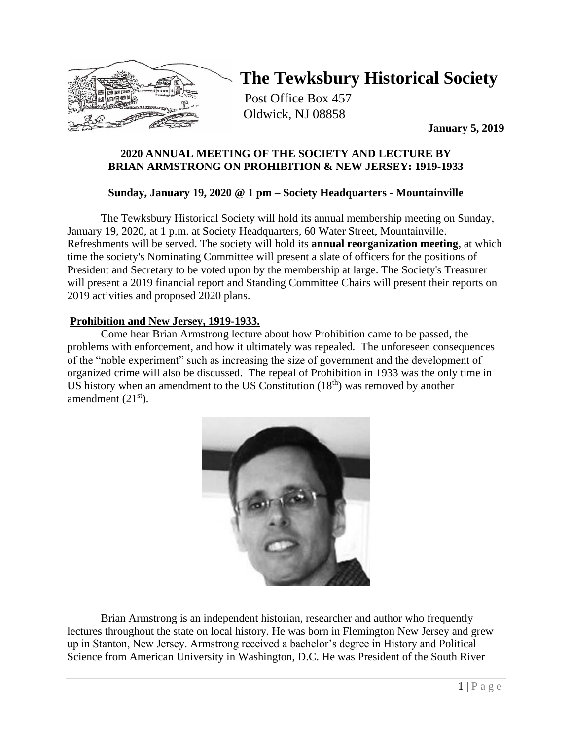

# **The Tewksbury Historical Society**

Post Office Box 457 Oldwick, NJ 08858

**January 5, 2019**

## **2020 ANNUAL MEETING OF THE SOCIETY AND LECTURE BY BRIAN ARMSTRONG ON PROHIBITION & NEW JERSEY: 1919-1933**

## **Sunday, January 19, 2020 @ 1 pm – Society Headquarters - Mountainville**

The Tewksbury Historical Society will hold its annual membership meeting on Sunday, January 19, 2020, at 1 p.m. at Society Headquarters, 60 Water Street, Mountainville. Refreshments will be served. The society will hold its **annual reorganization meeting**, at which time the society's Nominating Committee will present a slate of officers for the positions of President and Secretary to be voted upon by the membership at large. The Society's Treasurer will present a 2019 financial report and Standing Committee Chairs will present their reports on 2019 activities and proposed 2020 plans.

## **Prohibition and New Jersey, 1919-1933.**

Come hear Brian Armstrong lecture about how Prohibition came to be passed, the problems with enforcement, and how it ultimately was repealed. The unforeseen consequences of the "noble experiment" such as increasing the size of government and the development of organized crime will also be discussed. The repeal of Prohibition in 1933 was the only time in US history when an amendment to the US Constitution  $(18<sup>th</sup>)$  was removed by another amendment  $(21<sup>st</sup>)$ .



Brian Armstrong is an independent historian, researcher and author who frequently lectures throughout the state on local history. He was born in Flemington New Jersey and grew up in Stanton, New Jersey. Armstrong received a bachelor's degree in History and Political Science from American University in Washington, D.C. He was President of the South River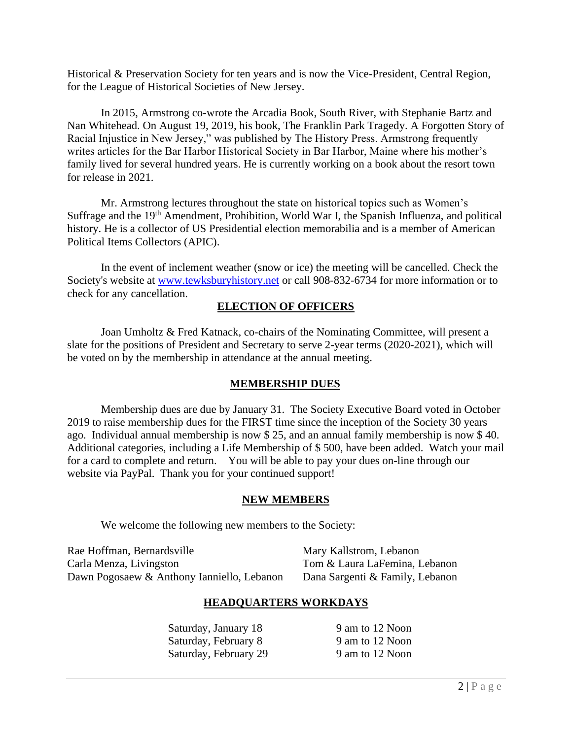Historical & Preservation Society for ten years and is now the Vice-President, Central Region, for the League of Historical Societies of New Jersey.

In 2015, Armstrong co-wrote the Arcadia Book, South River, with Stephanie Bartz and Nan Whitehead. On August 19, 2019, his book, The Franklin Park Tragedy. A Forgotten Story of Racial Injustice in New Jersey," was published by The History Press. Armstrong frequently writes articles for the Bar Harbor Historical Society in Bar Harbor, Maine where his mother's family lived for several hundred years. He is currently working on a book about the resort town for release in 2021.

Mr. Armstrong lectures throughout the state on historical topics such as Women's Suffrage and the 19<sup>th</sup> Amendment, Prohibition, World War I, the Spanish Influenza, and political history. He is a collector of US Presidential election memorabilia and is a member of American Political Items Collectors (APIC).

In the event of inclement weather (snow or ice) the meeting will be cancelled. Check the Society's website at [www.tewksburyhistory.net](http://www.tewksburyhistory.net/) or call 908-832-6734 for more information or to check for any cancellation.

#### **ELECTION OF OFFICERS**

Joan Umholtz & Fred Katnack, co-chairs of the Nominating Committee, will present a slate for the positions of President and Secretary to serve 2-year terms (2020-2021), which will be voted on by the membership in attendance at the annual meeting.

#### **MEMBERSHIP DUES**

Membership dues are due by January 31. The Society Executive Board voted in October 2019 to raise membership dues for the FIRST time since the inception of the Society 30 years ago. Individual annual membership is now \$ 25, and an annual family membership is now \$ 40. Additional categories, including a Life Membership of \$ 500, have been added. Watch your mail for a card to complete and return. You will be able to pay your dues on-line through our website via PayPal. Thank you for your continued support!

#### **NEW MEMBERS**

We welcome the following new members to the Society:

Rae Hoffman, Bernardsville Mary Kallstrom, Lebanon Carla Menza, Livingston Tom & Laura LaFemina, Lebanon Dawn Pogosaew & Anthony Ianniello, Lebanon Dana Sargenti & Family, Lebanon

## **HEADQUARTERS WORKDAYS**

Saturday, January 18 9 am to 12 Noon Saturday, February 8 9 am to 12 Noon Saturday, February 29 9 am to 12 Noon